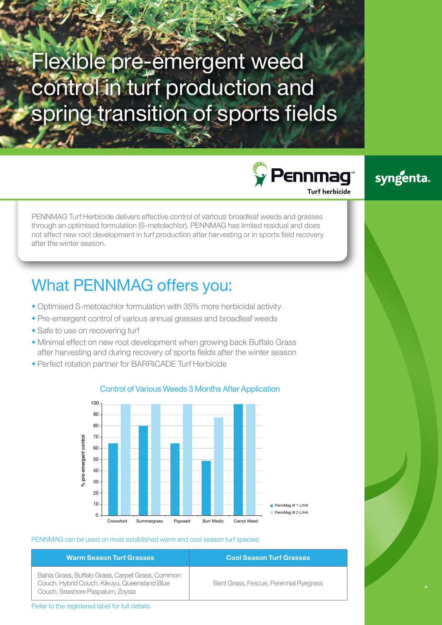# Flexible pre-emergent weed control in turf production and spring transition of sports fields

 $\sqrt{\ }$  Pennmag Furf herbicide



PENNMAG Turf Herbicide delivers effective control of various broadleaf weeds and grasses through an optimised formulation (S-metolachlor). PENNMAG has limited residual and does not affect new root development in turf production after harvesting or in sports field recovery after the winter season.

## What PENNMAG offers you:

- Optimised S-metolachlor formulation with 35% more herbicidal activity
- Pre-emergent control of various annual grasses and broadleaf weeds
- Safe to use on recovering turf
- Minimal effect on new root development when growing back Buffalo Grass after harvesting and during recovery of sports fields after the winter season
- Perfect rotation partner for BARRICADE Turf Herbicide



#### Control of Various Weeds 3 Months After Application

PENNMAG can be used on most established warm and cool season turf species:

Bahia Grass, Buffalo Grass, Carpet Grass, Common Couch, Hybrid Couch, Kikuyu, Queensland Blue Couch, Seashore Paspalum, Zoysia

### **Warm Season Turf Grasses Cool Season Turf Grasses**

Bent Grass, Fescue, Perennial Ryegrass